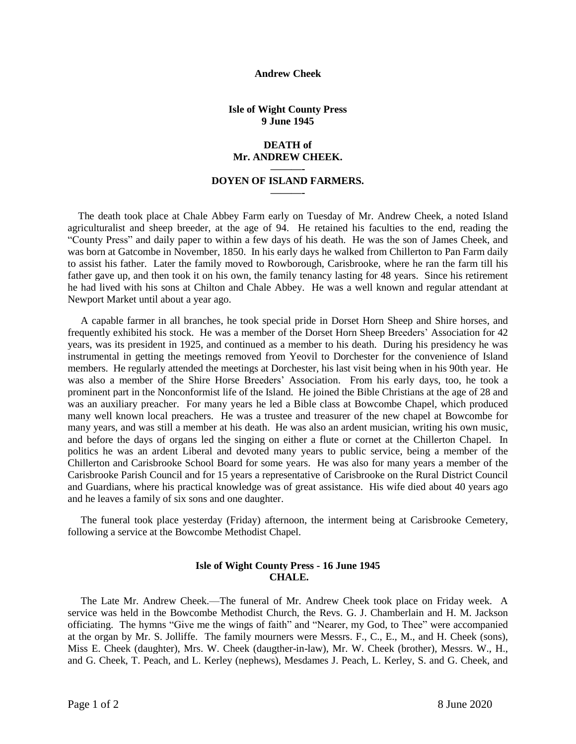#### **Andrew Cheek**

### **Isle of Wight County Press 9 June 1945**

### **DEATH of Mr. ANDREW CHEEK.**

# **———- DOYEN OF ISLAND FARMERS. ———-**

The death took place at Chale Abbey Farm early on Tuesday of Mr. Andrew Cheek, a noted Island agriculturalist and sheep breeder, at the age of 94. He retained his faculties to the end, reading the "County Press" and daily paper to within a few days of his death. He was the son of James Cheek, and was born at Gatcombe in November, 1850. In his early days he walked from Chillerton to Pan Farm daily to assist his father. Later the family moved to Rowborough, Carisbrooke, where he ran the farm till his father gave up, and then took it on his own, the family tenancy lasting for 48 years. Since his retirement he had lived with his sons at Chilton and Chale Abbey. He was a well known and regular attendant at Newport Market until about a year ago.

 A capable farmer in all branches, he took special pride in Dorset Horn Sheep and Shire horses, and frequently exhibited his stock. He was a member of the Dorset Horn Sheep Breeders' Association for 42 years, was its president in 1925, and continued as a member to his death. During his presidency he was instrumental in getting the meetings removed from Yeovil to Dorchester for the convenience of Island members. He regularly attended the meetings at Dorchester, his last visit being when in his 90th year. He was also a member of the Shire Horse Breeders' Association. From his early days, too, he took a prominent part in the Nonconformist life of the Island. He joined the Bible Christians at the age of 28 and was an auxiliary preacher. For many years he led a Bible class at Bowcombe Chapel, which produced many well known local preachers. He was a trustee and treasurer of the new chapel at Bowcombe for many years, and was still a member at his death. He was also an ardent musician, writing his own music, and before the days of organs led the singing on either a flute or cornet at the Chillerton Chapel. In politics he was an ardent Liberal and devoted many years to public service, being a member of the Chillerton and Carisbrooke School Board for some years. He was also for many years a member of the Carisbrooke Parish Council and for 15 years a representative of Carisbrooke on the Rural District Council and Guardians, where his practical knowledge was of great assistance. His wife died about 40 years ago and he leaves a family of six sons and one daughter.

 The funeral took place yesterday (Friday) afternoon, the interment being at Carisbrooke Cemetery, following a service at the Bowcombe Methodist Chapel.

# **Isle of Wight County Press - 16 June 1945 CHALE.**

 The Late Mr. Andrew Cheek.—The funeral of Mr. Andrew Cheek took place on Friday week. A service was held in the Bowcombe Methodist Church, the Revs. G. J. Chamberlain and H. M. Jackson officiating. The hymns "Give me the wings of faith" and "Nearer, my God, to Thee" were accompanied at the organ by Mr. S. Jolliffe. The family mourners were Messrs. F., C., E., M., and H. Cheek (sons), Miss E. Cheek (daughter), Mrs. W. Cheek (daugther-in-law), Mr. W. Cheek (brother), Messrs. W., H., and G. Cheek, T. Peach, and L. Kerley (nephews), Mesdames J. Peach, L. Kerley, S. and G. Cheek, and